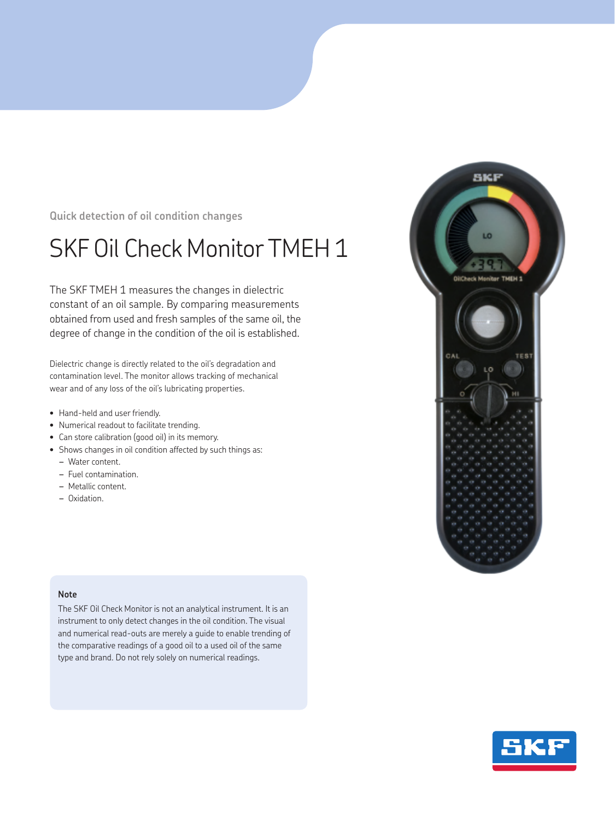**Quick detection of oil condition changes** 

## SKF Oil Check Monitor TMEH 1

The SKF TMEH 1 measures the changes in dielectric constant of an oil sample. By comparing measurements obtained from used and fresh samples of the same oil, the degree of change in the condition of the oil is established.

Dielectric change is directly related to the oil's degradation and contamination level. The monitor allows tracking of mechanical wear and of any loss of the oil's lubricating properties.

- Hand-held and user friendly.
- Numerical readout to facilitate trending.
- Can store calibration (good oil) in its memory.
- Shows changes in oil condition affected by such things as:
	- *–* Water content.
	- *–* Fuel contamination.
	- *–* Metallic content.
	- *–* Oxidation.

## **Note**

The SKF Oil Check Monitor is not an analytical instrument. It is an instrument to only detect changes in the oil condition. The visual and numerical read-outs are merely a guide to enable trending of the comparative readings of a good oil to a used oil of the same type and brand. Do not rely solely on numerical readings.